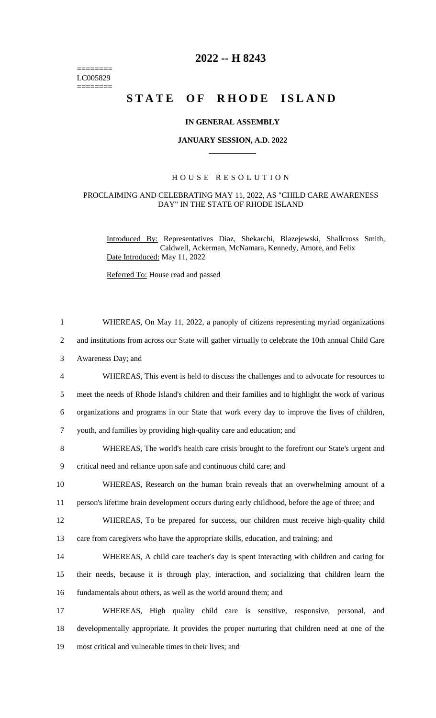======== LC005829  $=$ 

## **2022 -- H 8243**

# STATE OF RHODE ISLAND

#### **IN GENERAL ASSEMBLY**

#### **JANUARY SESSION, A.D. 2022 \_\_\_\_\_\_\_\_\_\_\_\_**

#### H O U S E R E S O L U T I O N

### PROCLAIMING AND CELEBRATING MAY 11, 2022, AS "CHILD CARE AWARENESS DAY" IN THE STATE OF RHODE ISLAND

Introduced By: Representatives Diaz, Shekarchi, Blazejewski, Shallcross Smith, Caldwell, Ackerman, McNamara, Kennedy, Amore, and Felix Date Introduced: May 11, 2022

Referred To: House read and passed

| $\mathbf{1}$   | WHEREAS, On May 11, 2022, a panoply of citizens representing myriad organizations                    |
|----------------|------------------------------------------------------------------------------------------------------|
| $\overline{2}$ | and institutions from across our State will gather virtually to celebrate the 10th annual Child Care |
| 3              | Awareness Day; and                                                                                   |
| $\overline{4}$ | WHEREAS, This event is held to discuss the challenges and to advocate for resources to               |
| 5              | meet the needs of Rhode Island's children and their families and to highlight the work of various    |
| 6              | organizations and programs in our State that work every day to improve the lives of children,        |
| $\tau$         | youth, and families by providing high-quality care and education; and                                |
| 8              | WHEREAS, The world's health care crisis brought to the forefront our State's urgent and              |
| 9              | critical need and reliance upon safe and continuous child care; and                                  |
| 10             | WHEREAS, Research on the human brain reveals that an overwhelming amount of a                        |
| 11             | person's lifetime brain development occurs during early childhood, before the age of three; and      |
| 12             | WHEREAS, To be prepared for success, our children must receive high-quality child                    |
| 13             | care from caregivers who have the appropriate skills, education, and training; and                   |
| 14             | WHEREAS, A child care teacher's day is spent interacting with children and caring for                |
| 15             | their needs, because it is through play, interaction, and socializing that children learn the        |
| 16             | fundamentals about others, as well as the world around them; and                                     |
| 17             | WHEREAS, High quality child care is sensitive, responsive, personal,<br>and                          |
| 18             | developmentally appropriate. It provides the proper nurturing that children need at one of the       |
| 19             | most critical and vulnerable times in their lives; and                                               |